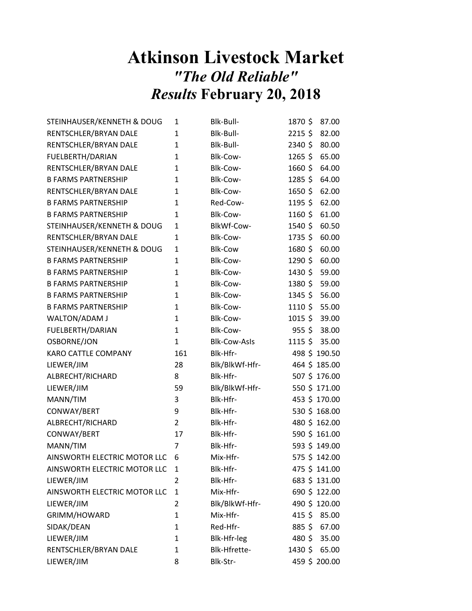## Atkinson Livestock Market "The Old Reliable" Results February 20, 2018

| STEINHAUSER/KENNETH & DOUG   | 1              | Blk-Bull-           | 1870\$    | 87.00         |
|------------------------------|----------------|---------------------|-----------|---------------|
| RENTSCHLER/BRYAN DALE        | 1              | Blk-Bull-           | 2215\$    | 82.00         |
| RENTSCHLER/BRYAN DALE        | 1              | Blk-Bull-           | 2340 \$   | 80.00         |
| FUELBERTH/DARIAN             | $\mathbf{1}$   | Blk-Cow-            | $1265$ \$ | 65.00         |
| RENTSCHLER/BRYAN DALE        | 1              | Blk-Cow-            | 1660 \$   | 64.00         |
| <b>B FARMS PARTNERSHIP</b>   | $\mathbf{1}$   | Blk-Cow-            | $1285$ \$ | 64.00         |
| RENTSCHLER/BRYAN DALE        | 1              | Blk-Cow-            | 1650\$    | 62.00         |
| <b>B FARMS PARTNERSHIP</b>   | $\mathbf{1}$   | Red-Cow-            | 1195\$    | 62.00         |
| <b>B FARMS PARTNERSHIP</b>   | 1              | Blk-Cow-            | 1160 \$   | 61.00         |
| STEINHAUSER/KENNETH & DOUG   | 1              | BlkWf-Cow-          | 1540 \$   | 60.50         |
| RENTSCHLER/BRYAN DALE        | 1              | Blk-Cow-            | 1735\$    | 60.00         |
| STEINHAUSER/KENNETH & DOUG   | 1              | <b>Blk-Cow</b>      | 1680\$    | 60.00         |
| <b>B FARMS PARTNERSHIP</b>   | 1              | Blk-Cow-            | 1290 \$   | 60.00         |
| <b>B FARMS PARTNERSHIP</b>   | 1              | Blk-Cow-            | 1430 \$   | 59.00         |
| <b>B FARMS PARTNERSHIP</b>   | 1              | Blk-Cow-            | 1380 \$   | 59.00         |
| <b>B FARMS PARTNERSHIP</b>   | 1              | Blk-Cow-            | 1345\$    | 56.00         |
| <b>B FARMS PARTNERSHIP</b>   | 1              | Blk-Cow-            | 1110 \$   | 55.00         |
| WALTON/ADAM J                | 1              | Blk-Cow-            | $1015$ \$ | 39.00         |
| FUELBERTH/DARIAN             | $\mathbf{1}$   | Blk-Cow-            | $955$ \$  | 38.00         |
| OSBORNE/JON                  | 1              | <b>Blk-Cow-Asls</b> | $1115$ \$ | 35.00         |
| KARO CATTLE COMPANY          | 161            | Blk-Hfr-            |           | 498 \$190.50  |
| LIEWER/JIM                   | 28             | Blk/BlkWf-Hfr-      |           | 464 \$185.00  |
| ALBRECHT/RICHARD             | 8              | Blk-Hfr-            |           | 507 \$176.00  |
| LIEWER/JIM                   | 59             | Blk/BlkWf-Hfr-      |           | 550 \$ 171.00 |
| MANN/TIM                     | 3              | Blk-Hfr-            |           | 453 \$ 170.00 |
| CONWAY/BERT                  | 9              | Blk-Hfr-            |           | 530 \$168.00  |
| ALBRECHT/RICHARD             | $\overline{2}$ | Blk-Hfr-            |           | 480 \$162.00  |
| CONWAY/BERT                  | 17             | Blk-Hfr-            |           | 590 \$161.00  |
| MANN/TIM                     | 7              | Blk-Hfr-            |           | 593 \$ 149.00 |
| AINSWORTH ELECTRIC MOTOR LLC | 6              | Mix-Hfr-            |           | 575 \$ 142.00 |
| AINSWORTH ELECTRIC MOTOR LLC | 1              | Blk-Hfr-            |           | 475 \$141.00  |
| LIEWER/JIM                   | 2              | Blk-Hfr-            |           | 683 \$131.00  |
| AINSWORTH ELECTRIC MOTOR LLC | 1              | Mix-Hfr-            |           | 690 \$122.00  |
| LIEWER/JIM                   | 2              | Blk/BlkWf-Hfr-      |           | 490 \$120.00  |
| GRIMM/HOWARD                 | 1              | Mix-Hfr-            |           | 415 \$ 85.00  |
| SIDAK/DEAN                   | 1              | Red-Hfr-            | $885$ \$  | 67.00         |
| LIEWER/JIM                   | 1              | Blk-Hfr-leg         | 480 \$    | 35.00         |
| RENTSCHLER/BRYAN DALE        |                |                     |           |               |
|                              | 1              | Blk-Hfrette-        | 1430 \$   | 65.00         |